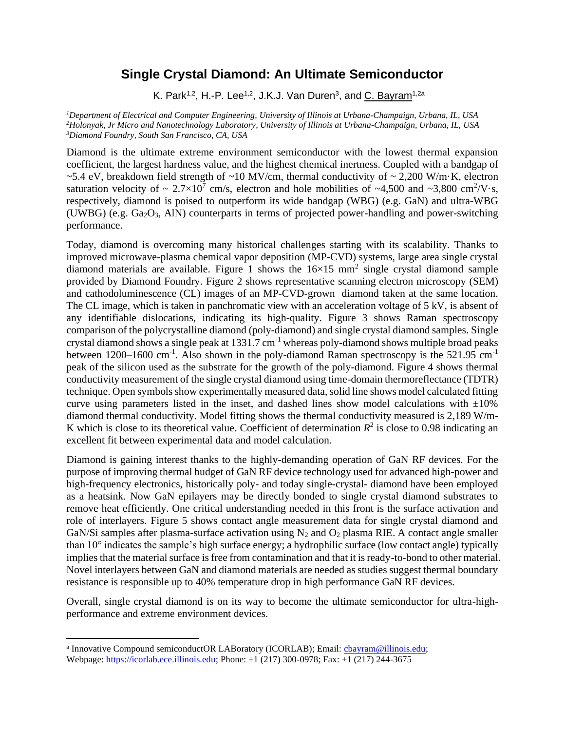## **Single Crystal Diamond: An Ultimate Semiconductor**

K. Park<sup>1,2</sup>, H.-P. Lee<sup>1,2</sup>, J.K.J. Van Duren<sup>3</sup>, and <u>C. Bayram</u><sup>1,2a</sup>

*<sup>1</sup>Department of Electrical and Computer Engineering, University of Illinois at Urbana-Champaign, Urbana, IL, USA <sup>2</sup>Holonyak, Jr Micro and Nanotechnology Laboratory, University of Illinois at Urbana-Champaign, Urbana, IL, USA <sup>3</sup>Diamond Foundry, South San Francisco, CA, USA*

Diamond is the ultimate extreme environment semiconductor with the lowest thermal expansion coefficient, the largest hardness value, and the highest chemical inertness. Coupled with a bandgap of ~5.4 eV, breakdown field strength of ~10 MV/cm, thermal conductivity of ~ 2,200 W/m·K, electron saturation velocity of  $\sim 2.7 \times 10^7$  cm/s, electron and hole mobilities of  $\sim 4,500$  and  $\sim 3,800$  cm<sup>2</sup>/V·s, respectively, diamond is poised to outperform its wide bandgap (WBG) (e.g. GaN) and ultra-WBG (UWBG) (e.g. Ga2O3, AlN) counterparts in terms of projected power-handling and power-switching performance.

Today, diamond is overcoming many historical challenges starting with its scalability. Thanks to improved microwave-plasma chemical vapor deposition (MP-CVD) systems, large area single crystal diamond materials are available. Figure 1 shows the  $16\times15$  mm<sup>2</sup> single crystal diamond sample provided by Diamond Foundry. Figure 2 shows representative scanning electron microscopy (SEM) and cathodoluminescence (CL) images of an MP-CVD-grown diamond taken at the same location. The CL image, which is taken in panchromatic view with an acceleration voltage of 5 kV, is absent of any identifiable dislocations, indicating its high-quality. Figure 3 shows Raman spectroscopy comparison of the polycrystalline diamond (poly-diamond) and single crystal diamond samples. Single crystal diamond shows a single peak at  $1331.7 \text{ cm}^{-1}$  whereas poly-diamond shows multiple broad peaks between 1200–1600 cm<sup>-1</sup>. Also shown in the poly-diamond Raman spectroscopy is the 521.95 cm<sup>-1</sup> peak of the silicon used as the substrate for the growth of the poly-diamond. Figure 4 shows thermal conductivity measurement of the single crystal diamond using time-domain thermoreflectance (TDTR) technique. Open symbols show experimentally measured data, solid line shows model calculated fitting curve using parameters listed in the inset, and dashed lines show model calculations with  $\pm 10\%$ diamond thermal conductivity. Model fitting shows the thermal conductivity measured is 2,189 W/m-K which is close to its theoretical value. Coefficient of determination  $R^2$  is close to 0.98 indicating an excellent fit between experimental data and model calculation.

Diamond is gaining interest thanks to the highly-demanding operation of GaN RF devices. For the purpose of improving thermal budget of GaN RF device technology used for advanced high-power and high-frequency electronics, historically poly- and today single-crystal- diamond have been employed as a heatsink. Now GaN epilayers may be directly bonded to single crystal diamond substrates to remove heat efficiently. One critical understanding needed in this front is the surface activation and role of interlayers. Figure 5 shows contact angle measurement data for single crystal diamond and GaN/Si samples after plasma-surface activation using  $N_2$  and  $O_2$  plasma RIE. A contact angle smaller than 10° indicates the sample's high surface energy; a hydrophilic surface (low contact angle) typically implies that the material surface is free from contamination and that it is ready-to-bond to other material. Novel interlayers between GaN and diamond materials are needed as studies suggest thermal boundary resistance is responsible up to 40% temperature drop in high performance GaN RF devices.

Overall, single crystal diamond is on its way to become the ultimate semiconductor for ultra-highperformance and extreme environment devices.

<sup>&</sup>lt;sup>a</sup> Innovative Compound semiconductOR LABoratory (ICORLAB); Email: **chayram@illinois.edu**; Webpage: [https://icorlab.ece.illinois.edu;](https://icorlab.ece.illinois.edu/) Phone: +1 (217) 300-0978; Fax: +1 (217) 244-3675